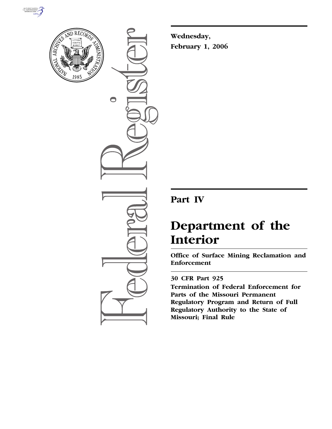



 $\bigcirc$ 

**Wednesday, February 1, 2006** 

## **Part IV**

# **Department of the Interior**

**Office of Surface Mining Reclamation and Enforcement** 

### **30 CFR Part 925**

**Termination of Federal Enforcement for Parts of the Missouri Permanent Regulatory Program and Return of Full Regulatory Authority to the State of Missouri; Final Rule**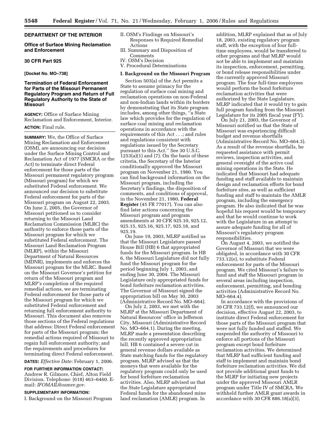#### **DEPARTMENT OF THE INTERIOR**

#### **Office of Surface Mining Reclamation and Enforcement**

#### **30 CFR Part 925**

**[Docket No. MO–738]** 

#### **Termination of Federal Enforcement for Parts of the Missouri Permanent Regulatory Program and Return of Full Regulatory Authority to the State of Missouri**

**AGENCY:** Office of Surface Mining Reclamation and Enforcement, Interior.

#### **ACTION:** Final rule.

**SUMMARY:** We, the Office of Surface Mining Reclamation and Enforcement (OSM), are announcing our decision under the Surface Mining Control and Reclamation Act of 1977 (SMCRA or the Act) to terminate direct Federal enforcement for those parts of the Missouri permanent regulatory program (Missouri program) for which we substituted Federal enforcement. We announced our decision to substitute Federal enforcement for parts of the Missouri program on August 22, 2003. On June 2, 2005, the Governor of Missouri petitioned us to consider returning to the Missouri Land Reclamation Commission (MLRC) the authority to enforce those parts of the Missouri program for which we substituted Federal enforcement. The Missouri Land Reclamation Program (MLRP), within the Missouri Department of Natural Resources (MDNR), implements and enforces the Missouri program for the MLRC. Based on the Missouri Governor's petition for return of the Missouri program and MLRP's completion of the required remedial actions, we are terminating Federal enforcement for those parts of the Missouri program for which we substituted Federal enforcement and returning full enforcement authority to Missouri. This document also removes those sections of the Federal regulations that address: Direct Federal enforcement for parts of the Missouri program; the remedial actions required of Missouri to regain full enforcement authority; and the requirements and procedures for terminating direct Federal enforcement.

**DATES:** *Effective Date:* February 1, 2006.

**FOR FURTHER INFORMATION CONTACT:**  Andrew R. Gilmore, Chief, Alton Field Division. Telephone: (618) 463–6460. Email: *IFOMAIL@osmre.gov.* 

#### **SUPPLEMENTARY INFORMATION:**

I. Background on the Missouri Program

- II. OSM's Findings on Missouri's Responses to Required Remedial Actions
- III. Summary and Disposition of Comments
- IV. OSM's Decision
- V. Procedural Determinations

#### **I. Background on the Missouri Program**

Section 503(a) of the Act permits a State to assume primacy for the regulation of surface coal mining and reclamation operations on non-Federal and non-Indian lands within its borders by demonstrating that its State program includes, among other things, ''a State law which provides for the regulation of surface coal mining and reclamation operations in accordance with the requirements of this Act . . .; and rules and regulations consistent with regulations issued by the Secretary pursuant to this Act.'' See 30 U.S.C.  $1253(a)(1)$  and  $(7)$ . On the basis of these criteria, the Secretary of the Interior conditionally approved the Missouri program on November 21, 1980. You can find background information on the Missouri program, including the Secretary's findings, the disposition of comments, and conditions of approval, in the November 21, 1980, **Federal Register** (45 FR 77017). You can also find later actions concerning the Missouri program and program amendments at 30 CFR 925.10, 925.12, 925.15, 925.16, 925.17, 925.18, and 925.19.

On June 19, 2003, MLRP notified us that the Missouri Legislature passed House Bill (HB) 6 that appropriated funds for the Missouri program. In HB 6, the Missouri Legislature did not fully fund the Missouri program for the period beginning July 1, 2003, and ending June 30, 2004. The Missouri Legislature only appropriated funds for bond forfeiture reclamation activities. The Governor of Missouri signed the appropriation bill on May 30, 2003 (Administrative Record No. MO–664).

On July 2, 2003, we met with the MLRP at the Missouri Department of Natural Resources' office in Jefferson City, Missouri (Administrative Record No. MO–664.1). During the meeting, MLRP made a presentation describing the recently approved appropriation bill. HB 6 contained a severe cut in general revenue dollars available as State matching funds for the regulatory program. MLRP advised us that the moneys that were available for the regulatory program could only be used for bond forfeiture reclamation activities. Also, MLRP advised us that the State Legislature appropriated Federal funds for the abandoned mine land reclamation (AMLR) program. In

addition, MLRP explained that as of July 18, 2003, existing regulatory program staff, with the exception of four fulltime employees, would be transferred to other programs and that MLRP would not be able to implement and maintain its inspection, enforcement, permitting, or bond release responsibilities under the currently approved Missouri program. The four full-time employees would perform the bond forfeiture reclamation activities that were authorized by the State Legislature. MLRP indicated that it would try to gain full program funding from the Missouri Legislature for its 2005 fiscal year (FY).

On July 21, 2003, the Governor of Missouri notified us that the State of Missouri was experiencing difficult budget and revenue shortfalls (Administrative Record No. MO–664.3). As a result of the revenue shortfalls, he requested assistance with permit reviews, inspection activities, and general oversight of the active coal mining operations in the State. He indicated that Missouri had adequate funding and staff available to maintain design and reclamation efforts for bond forfeiture sites, as well as sufficient funding and staff to maintain the AMLR program, including the emergency program. He also indicated that he was hopeful his request would be temporary and that he would continue to work with the Legislature in an attempt to assure adequate funding for all of Missouri's regulatory program responsibilities.

On August 4, 2003, we notified the Governor of Missouri that we were obligated, in accordance with 30 CFR 733.12(e), to substitute Federal enforcement for parts of the Missouri program. We cited Missouri's failure to fund and staff the Missouri program in several areas including inspection, enforcement, permitting, and bonding activities (Administrative Record No. MO–664.4).

In accordance with the provisions of 30 CFR 733.12(f), we announced our decision, effective August 22, 2003, to institute direct Federal enforcement for those parts of the Missouri program that were not fully funded and staffed. We suspended the authority of Missouri to enforce all portions of the Missouri program except bond forfeiture reclamation activities. We determined that MLRP had sufficient funding and staff to implement and maintain bond forfeiture reclamation activities. We did not provide additional grant funds to the MLRP for initiating new projects under the approved Missouri AMLR program under Title IV of SMCRA. We withheld further AMLR grant awards in accordance with 30 CFR 886.18(a)(3),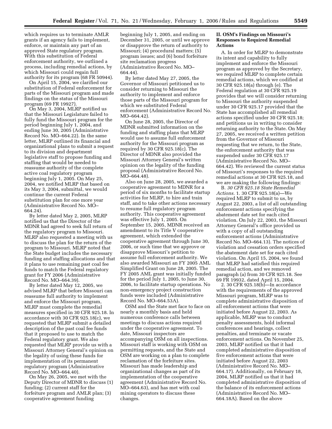which requires us to terminate AMLR grants if an agency fails to implement, enforce, or maintain any part of an approved State regulatory program. With this substitution of Federal enforcement authority, we outlined a process, including remedial actions, by which Missouri could regain full authority for its program (68 FR 50944).

On April 15, 2004, we clarified our substitution of Federal enforcement for parts of the Missouri program and made findings on the status of the Missouri program (69 FR 19927).

On May 3, 2004, MLRP notified us that the Missouri Legislature failed to fully fund the Missouri program for the period beginning July 1, 2004, and ending June 30, 2005 (Administrative Record No. MO–664.22). In the same letter, MLRP outlined its financial and organizational plans to submit a request to its division and department legislative staff to propose funding and staffing that would be needed to reassume authority of the complete active coal regulatory program beginning July 1, 2005. On May 25, 2004, we notified MLRP that based on its May 3, 2004, submittal, we would continue the current Federal substitution plan for one more year (Administrative Record No. MO– 664.24).

By letter dated May 2, 2005, MLRP notified us that the Director of the MDNR had agreed to seek full return of the regulatory program to Missouri. MLRP also requested a meeting with us to discuss the plan for the return of the program to Missouri. MLRP noted that the State budget includes the necessary funding and staffing allocations and that it plans to use remaining past coal fee funds to match the Federal regulatory grant for FY 2006 (Administrative Record No. MO–664.39).

By letter dated May 12, 2005, we advised MLRP that before Missouri can reassume full authority to implement and enforce the Missouri program, MLRP must complete the remedial measures specified in 30 CFR 925.18. In accordance with 30 CFR 925.18(c), we requested that MLRP submit a detailed description of the past coal fee funds that it proposed to use to match the Federal regulatory grant. We also requested that MLRP provide us with a Missouri Attorney General's opinion on the legality of using these funds for implementation of its permanent regulatory program (Administrative Record No. MO–664.40).

On May 26, 2005, we met with the Deputy Director of MDNR to discuss (1) funding; (2) current staff for the forfeiture program and AMLR plan; (3) cooperative agreement funding

beginning July 1, 2005, and ending on December 31, 2005, or until we approve or disapprove the return of authority to Missouri; (4) procedural matters; (5) program issues; and (6) bond forfeiture site reclamation progress (Administrative Record No. MO– 664.44).

By letter dated May 27, 2005, the Governor of Missouri petitioned us to consider returning to Missouri the authority to implement and enforce those parts of the Missouri program for which we substituted Federal enforcement (Administrative Record No. MO–664.42).

On June 28, 2005, the Director of MDNR submitted information on the funding and staffing plans that MLRP would use to assume full enforcement authority for the Missouri program as required by 30 CFR 925.18(c). The Director of MDNR also provided the Missouri Attorney General's written opinion on the legality of the funding proposal (Administrative Record No. MO–664.48).

Also on June 28, 2005, we awarded a cooperative agreement to MDNR for a period of six months to facilitate startup activities for MLRP, to hire and train staff, and to take other actions necessary to resume full regulatory program authority. This cooperative agreement was effective July 1, 2005. On September 15, 2005, MDNR received an amendment to its Title V cooperative agreement, which extended the cooperative agreement through June 30, 2006, or such time that we approve or disapprove Missouri's petition to assume full enforcement authority. We also awarded Missouri an FY 2005 AML Simplified Grant on June 28, 2005. The FY 2005 AML grant was initially funded for the period July 1, 2005, to June 30, 2006, to facilitate startup operations. No non-emergency project construction funds were included (Administrative Record No. MO–664.53A).

OSM and the State met face to face on nearly a monthly basis and held numerous conference calls between meetings to discuss actions required under the cooperative agreement. To date, Missouri inspectors are accompanying OSM on all inspections. Missouri staff is working with OSM on permitting requests, and the State and OSM are working on a plan to complete reclamation of the forfeiture sites. Missouri has made leadership and organizational changes as part of its implementation of the cooperative agreement (Administrative Record No. MO–664.63), and has met with coal mining operators to discuss these changes.

#### **II. OSM's Findings on Missouri's Responses to Required Remedial Actions**

A. In order for MLRP to demonstrate its intent and capability to fully implement and enforce the Missouri program as approved by the Secretary, we required MLRP to complete certain remedial actions, which we codified at 30 CFR 925.18(a) through (e). The Federal regulation at 30 CFR 925.19 provides that we will consider returning to Missouri the authority suspended under 30 CFR 925.17 provided that the State has accomplished all remedial actions specified under 30 CFR 925.18; and petitions us in writing to consider returning authority to the State. On May 27, 2005, we received a written petition from the Governor of Missouri requesting that we return, to the State, the enforcement authority that was suspended under 30 CFR 925.17 (Administrative Record No. MO– 664.42). We reviewed the current status of Missouri's responses to the required remedial actions at 30 CFR 925.18, and we are making the following findings:

B. *30 CFR 925.18 State Remedial Actions.* 1. 30 CFR 925.18(a)—We required MLRP to submit to us, by August 22, 2003, a list of all outstanding enforcement actions specifying the abatement date set for each cited violation. On July 22, 2003, the Missouri Attorney General's office provided us with a copy of all outstanding enforcement actions (Administrative Record No. MO–664.13). The notices of violation and cessation orders specified the abatement date set for each cited violation. On April 15, 2004, we found that MLRP had satisfied this required remedial action, and we removed paragraph (a) from 30 CFR 925.18. See 69 FR 19932, dated April 15, 2004.

2. 30 CFR 925.18(b)—In accordance with the requirements of the approved Missouri program, MLRP was to complete administrative disposition of all enforcement actions that were initiated before August 22, 2003. As applicable, MLRP was to conduct penalty assessments, hold informal conferences and hearings, collect penalties, and terminate or vacate enforcement actions. On November 25, 2003, MLRP notified us that it had completed administrative disposition of five enforcement actions that were initiated before August 22, 2003 (Administrative Record No. MO– 664.17). Additionally, on February 18, 2004, MLRP notified us that it had completed administrative disposition of the balance of its enforcement actions (Administrative Record No. MO– 664.18A). Based on the above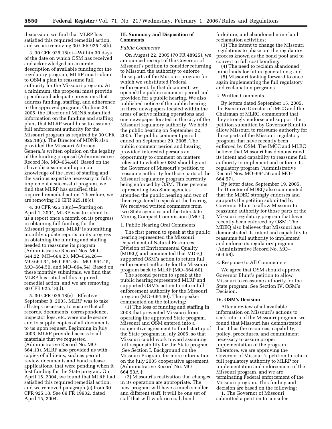discussion, we find that MLRP has satisfied this required remedial action, and we are removing 30 CFR 925.18(b).

3. 30 CFR 925.18(c)—Within 30 days of the date on which OSM has received and acknowledged an accurate description of available funding for the regulatory program, MLRP must submit to OSM a plan to reassume full authority for the Missouri program. At a minimum, the proposal must provide specific and adequate provisions that address funding, staffing, and adherence to the approved program. On June 28, 2005, the Director of MDNR submitted information on the funding and staffing plans that MLRP would use to assume full enforcement authority for the Missouri program as required by 30 CFR 925.18(c). The Director of MDNR also provided the Missouri Attorney General's written opinion on the legality of the funding proposal (Administrative Record No. MO–664.48). Based on the above discussion and upon our knowledge of the level of staffing and the various expertise necessary to fully implement a successful program, we find that MLRP has satisfied this required remedial action. Therefore, we are removing 30 CFR 925.18(c).

4. 30 CFR 925.18(d)—Starting on April 1, 2004, MLRP was to submit to us a report once a month on its progress in obtaining full funding for the Missouri program. MLRP is submitting monthly update reports on its progress in obtaining the funding and staffing needed to reassume its program (Administrative Record Nos. MO– 644.22, MO–664.23, MO–664.26— MO.664.34, MO–664.36—MO–664.45, MO–664.50, and MO–664.54). Based on these monthly submittals, we find that MLRP has satisfied this required remedial action, and we are removing 30 CFR 925.18(d).

5. 30 CFR 925.18(e)—Effective September 8, 2003, MLRP was to take all steps necessary to ensure that all records, documents, correspondence, inspector logs, etc. were made secure and to supply copies of all documents to us upon request. Beginning in July 2003, MLRP provided access to all materials that we requested (Administrative Record No. MO– 664.13). MLRP also provided us with copies of all items, such as permit review documents and bond release applications, that were pending when it lost funding for the State program. On April 15, 2004, we found that MLRP had satisfied this required remedial action, and we removed paragraph (e) from 30 CFR 925.18. See 69 FR 19932, dated April 15, 2004.

#### **III. Summary and Disposition of Comments**

#### *Public Comments*

On August 22, 2005 (70 FR 48925), we announced receipt of the Governor of Missouri's petition to consider returning to Missouri the authority to enforce those parts of the Missouri program for which we substituted Federal enforcement. In that document, we opened the public comment period and provided for a public hearing. We also published notice of the public hearing in three newspapers located within the areas of active mining operations and one newspaper located in the city of the Missouri regulatory authority. We held the public hearing on September 22, 2005. The public comment period ended on September 29, 2005. The public comment period and hearing provided interested persons an opportunity to comment on matters relevant to whether OSM should grant the Governor of Missouri's petition to reassume authority for those parts of the Missouri regulatory program currently being enforced by OSM. Three persons representing two State agencies attended the public hearing and two of them registered to speak at the hearing. We received written comments from two State agencies and the Interstate Mining Compact Commission (IMCC).

#### 1. Public Hearing Oral Comments

The first person to speak at the public hearing represented the Missouri Department of Natural Resources, Division of Environmental Quality (MDEQ) and commented that MDEQ supported OSM's action to return full enforcement authority for the Missouri program back to MLRP (MO–664.60).

The second person to speak at the public hearing represented MLRP and supported OSM's action to return full enforcement authority for the Missouri program (MO–664.60). The speaker commented on the following:

(1) The loss of funding and staffing in 2003 that prevented Missouri from operating the approved State program. Missouri and OSM entered into a cooperative agreement to fund startup of the State program in July 2005, so that Missouri could work toward assuming full responsibility for the State program. [See Section I, Background on the Missouri Program, for more information on the July 2005 cooperative agreement (Administrative Record No. MO– 664.53A)];

(2) Missouri's realization that changes in its operation are appropriate. The new program will have a much smaller and different staff. It will be one set of staff that will work on coal, bond

forfeiture, and abandoned mine land reclamation activities;

(3) The intent to change the Missouri regulations to phase out the regulatory process known as the bond pool and to convert to full cost bonding;

(4) The need to reclaim abandoned mine lands for future generations; and

(5) Missouri looking forward to once again implementing the full regulatory and reclamation programs.

#### 2. Written Comments

By letters dated September 15, 2005, the Executive Director of IMCC and the Chairman of MLRC, commented that they strongly endorse and support the petition submitted by Governor Blunt to allow Missouri to reassume authority for those parts of the Missouri regulatory program that have recently been enforced by OSM. The IMCC and MLRC believe that Missouri has demonstrated its intent and capability to reassume full authority to implement and enforce its regulatory program (Administrative Record Nos. MO–664.56 and MO– 664.57).

By letter dated September 19, 2005, the Director of MDEQ also commented that the MDEQ strongly endorses and supports the petition submitted by Governor Blunt to allow Missouri to reassume authority for those parts of the Missouri regulatory program that have recently been enforced by OSM. The MDEQ also believes that Missouri has demonstrated its intent and capability to reassume full authority to implement and enforce its regulatory program (Administrative Record No. MO– 664.58).

#### 3. Response to All Commenters

We agree that OSM should approve Governor Blunt's petition to allow Missouri to reassume authority for the State program. See Section IV, OSM's Decision.

#### **IV. OSM's Decision**

After a review of all available information on Missouri's actions to seek return of the Missouri program, we found that Missouri has demonstrated that it has the resources, capability, policy, procedures, and commitment necessary to assure proper implementation of the program. Therefore, we are approving the Governor of Missouri's petition to return full regulatory authority to MLRP for implementation and enforcement of the Missouri program, and we are terminating Federal enforcement of the Missouri program. This finding and decision are based on the following:

1. The Governor of Missouri submitted a petition to consider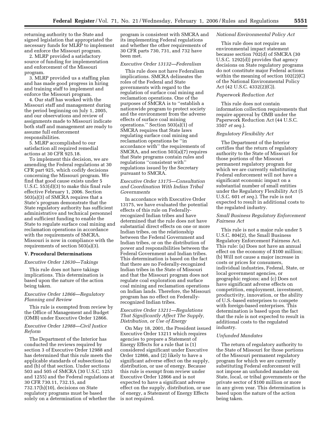returning authority to the State and signed legislation that appropriated the necessary funds for MLRP to implement and enforce the Missouri program.

2. MLRP provided a satisfactory source of funding for implementation and enforcement of the Missouri program.

3. MLRP provided us a staffing plan and has made good progress in hiring and training staff to implement and enforce the Missouri program.

4. Our staff has worked with the Missouri staff and management during the period beginning on July 1, 2005, and our observations and review of assignments made to Missouri indicate both staff and management are ready to assume full enforcement responsibilities.

5. MLRP accomplished to our satisfaction all required remedial actions at 30 CFR 925.18.

To implement this decision, we are amending the Federal regulations at 30 CFR part 925, which codify decisions concerning the Missouri program. We find that good cause exists under 5 U.S.C. 553(d)(3) to make this final rule effective February 1, 2006. Section 503(a)(3) of SMCRA requires that a State's program demonstrate that the State regulatory authority has sufficient administrative and technical personnel and sufficient funding to enable the State to regulate surface coal mining and reclamation operations in accordance with the requirements of SMCRA. Missouri is now in compliance with the requirements of section 503(a)(3).

#### **V. Procedural Determinations**

#### *Executive Order 12630—Takings*

This rule does not have takings implications. This determination is based upon the nature of the action being taken.

#### *Executive Order 12866—Regulatory Planning and Review*

This rule is exempted from review by the Office of Management and Budget (OMB) under Executive Order 12866.

#### *Executive Order 12988—Civil Justice Reform*

The Department of the Interior has conducted the reviews required by section 3 of Executive Order 12988 and has determined that this rule meets the applicable standards of subsections (a) and (b) of that section. Under sections 503 and 505 of SMCRA (30 U.S.C. 1253 and 1255) and the Federal regulations at 30 CFR 730.11, 732.15, and 732.17(h)(10), decisions on State regulatory programs must be based solely on a determination of whether the

program is consistent with SMCRA and its implementing Federal regulations and whether the other requirements of 30 CFR parts 730, 731, and 732 have been met.

#### *Executive Order 13132—Federalism*

This rule does not have Federalism implications. SMCRA delineates the roles of the Federal and State governments with regard to the regulation of surface coal mining and reclamation operations. One of the purposes of SMCRA is to ''establish a nationwide program to protect society and the environment from the adverse effects of surface coal mining operations." Section  $503(a)(1)$  of SMCRA requires that State laws regulating surface coal mining and reclamation operations be ''in accordance with'' the requirements of SMCRA, and section 503(a)(7) requires that State programs contain rules and regulations ''consistent with'' regulations issued by the Secretary pursuant to SMCRA.

#### *Executive Order 13175—Consultation and Coordination With Indian Tribal Governments*

In accordance with Executive Order 13175, we have evaluated the potential effects of this rule on Federallyrecognized Indian tribes and have determined that the rule does not have substantial direct effects on one or more Indian tribes, on the relationship between the Federal Government and Indian tribes, or on the distribution of power and responsibilities between the Federal Government and Indian tribes. This determination is based on the fact that there are no Federally-recognized Indian tribes in the State of Missouri and that the Missouri program does not regulate coal exploration and surface coal mining and reclamation operations on Indian lands. Therefore, the Missouri program has no effect on Federallyrecognized Indian tribes.

#### *Executive Order 13211—Regulations That Significantly Affect The Supply, Distribution, or Use of Energy*

On May 18, 2001, the President issued Executive Order 13211 which requires agencies to prepare a Statement of Energy Effects for a rule that is (1) considered significant under Executive Order 12866, and (2) likely to have a significant adverse effect on the supply, distribution, or use of energy. Because this rule is exempt from review under Executive Order 12866 and is not expected to have a significant adverse effect on the supply, distribution, or use of energy, a Statement of Energy Effects is not required.

#### *National Environmental Policy Act*

This rule does not require an environmental impact statement because section 702(d) of SMCRA (30 U.S.C. 1292(d)) provides that agency decisions on State regulatory programs do not constitute major Federal actions within the meaning of section 102(2)(C) of the National Environmental Policy Act (42 U.S.C. 4332(2)(C)).

#### *Paperwork Reduction Act*

This rule does not contain information collection requirements that require approval by OMB under the Paperwork Reduction Act (44 U.S.C. 3507 *et seq.*).

#### *Regulatory Flexibility Act*

The Department of the Interior certifies that the return of regulatory authority to the State of Missouri for those portions of the Missouri permanent regulatory program for which we are currently substituting Federal enforcement will not have a significant economic impact on a substantial number of small entities under the Regulatory Flexibility Act (5 U.S.C. 601 *et seq.*). The rule is not expected to result in additional costs to the regulated industry.

#### *Small Business Regulatory Enforcement Fairness Act*

This rule is not a major rule under 5 U.S.C. 804(2), the Small Business Regulatory Enforcement Fairness Act. This rule: (a) Does not have an annual effect on the economy of \$100 million; (b) Will not cause a major increase in costs or prices for consumers, individual industries, Federal, State, or local government agencies, or geographic regions; and (c) Does not have significant adverse effects on competition, employment, investment, productivity, innovation, or the ability of U.S.-based enterprises to compete with foreign-based enterprises. This determination is based upon the fact that the rule is not expected to result in additional costs to the regulated industry.

#### *Unfunded Mandates*

The return of regulatory authority to the State of Missouri for those portions of the Missouri permanent regulatory program for which we are currently substituting Federal enforcement will not impose an unfunded mandate on State, local, or tribal governments or the private sector of \$100 million or more in any given year. This determination is based upon the nature of the action being taken.